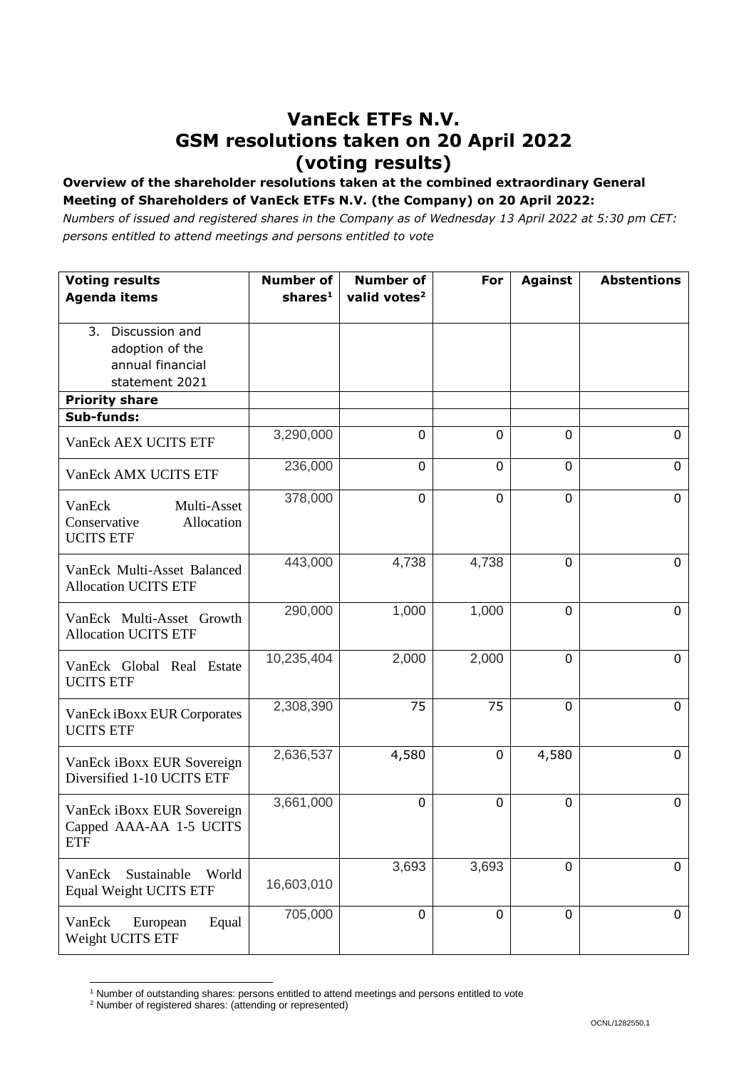## **VanEck ETFs N.V. GSM resolutions taken on 20 April 2022 (voting results)**

## **Overview of the shareholder resolutions taken at the combined extraordinary General Meeting of Shareholders of VanEck ETFs N.V. (the Company) on 20 April 2022:**

*Numbers of issued and registered shares in the Company as of Wednesday 13 April 2022 at 5:30 pm CET: persons entitled to attend meetings and persons entitled to vote*

| <b>Voting results</b><br><b>Agenda items</b>                               | <b>Number of</b><br>shares <sup>1</sup> | <b>Number of</b><br>valid votes <sup>2</sup> | For         | <b>Against</b> | <b>Abstentions</b> |
|----------------------------------------------------------------------------|-----------------------------------------|----------------------------------------------|-------------|----------------|--------------------|
|                                                                            |                                         |                                              |             |                |                    |
| 3. Discussion and<br>adoption of the<br>annual financial<br>statement 2021 |                                         |                                              |             |                |                    |
| <b>Priority share</b>                                                      |                                         |                                              |             |                |                    |
| Sub-funds:                                                                 |                                         |                                              |             |                |                    |
| VanEck AEX UCITS ETF                                                       | 3,290,000                               | 0                                            | $\mathbf 0$ | 0              | 0                  |
| VanEck AMX UCITS ETF                                                       | 236,000                                 | $\mathbf 0$                                  | $\mathbf 0$ | 0              | 0                  |
| VanEck<br>Multi-Asset<br>Conservative<br>Allocation<br><b>UCITS ETF</b>    | 378,000                                 | $\mathbf 0$                                  | 0           | $\mathbf{0}$   | $\mathbf 0$        |
| VanEck Multi-Asset Balanced<br><b>Allocation UCITS ETF</b>                 | 443,000                                 | 4,738                                        | 4,738       | $\overline{0}$ | $\mathbf 0$        |
| VanEck Multi-Asset Growth<br><b>Allocation UCITS ETF</b>                   | 290,000                                 | 1,000                                        | 1,000       | 0              | $\overline{0}$     |
| VanEck Global Real Estate<br><b>UCITS ETF</b>                              | 10,235,404                              | 2,000                                        | 2,000       | 0              | $\mathbf 0$        |
| VanEck iBoxx EUR Corporates<br><b>UCITS ETF</b>                            | 2,308,390                               | 75                                           | 75          | $\mathbf 0$    | $\overline{0}$     |
| VanEck iBoxx EUR Sovereign<br>Diversified 1-10 UCITS ETF                   | 2,636,537                               | 4,580                                        | 0           | 4,580          | 0                  |
| VanEck iBoxx EUR Sovereign<br>Capped AAA-AA 1-5 UCITS<br><b>ETF</b>        | 3,661,000                               | 0                                            | 0           | 0              | $\mathbf 0$        |
| Sustainable<br>VanEck<br>World<br>Equal Weight UCITS ETF                   | 16,603,010                              | 3,693                                        | 3,693       | 0              | 0                  |
| VanEck<br>European<br>Equal<br>Weight UCITS ETF                            | 705,000                                 | $\mathbf 0$                                  | $\mathbf 0$ | 0              | 0                  |

l <sup>1</sup> Number of outstanding shares: persons entitled to attend meetings and persons entitled to vote

<sup>2</sup> Number of registered shares: (attending or represented)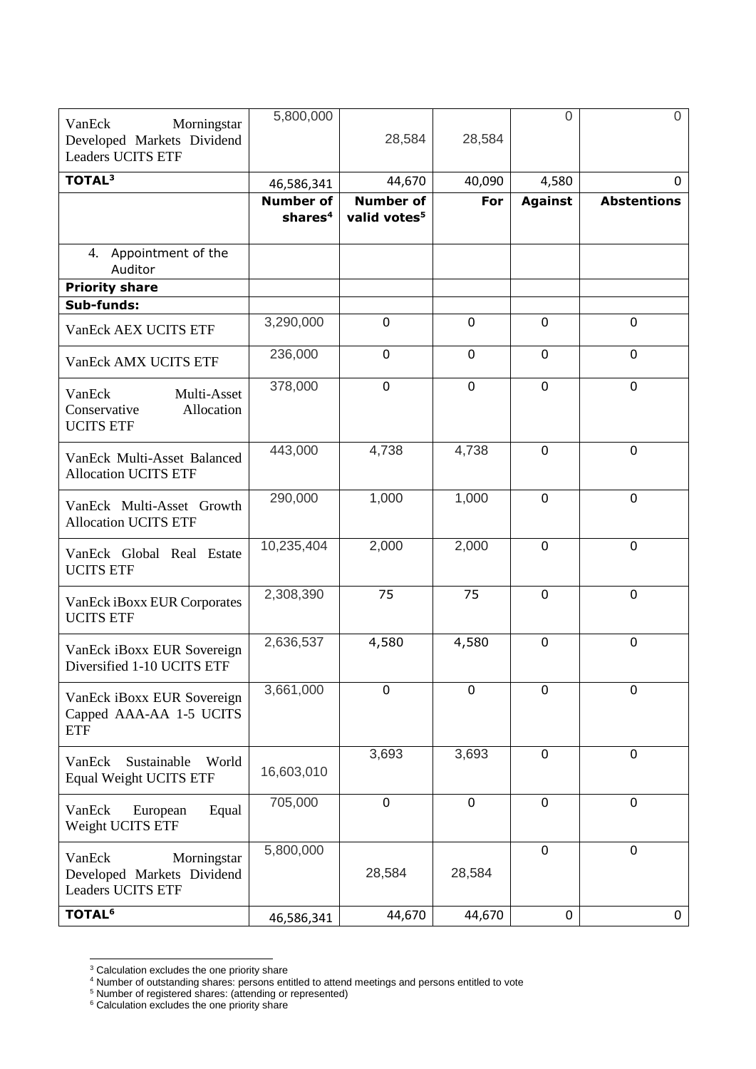|                                                                                 | 5,800,000                               |                                              |                | $\overline{0}$ | $\Omega$           |
|---------------------------------------------------------------------------------|-----------------------------------------|----------------------------------------------|----------------|----------------|--------------------|
| Morningstar<br>VanEck<br>Developed Markets Dividend<br><b>Leaders UCITS ETF</b> |                                         | 28,584                                       | 28,584         |                |                    |
| TOTAL <sup>3</sup>                                                              | 46,586,341                              | 44,670                                       | 40,090         | 4,580          | 0                  |
|                                                                                 | <b>Number of</b><br>shares <sup>4</sup> | <b>Number of</b><br>valid votes <sup>5</sup> | For            | <b>Against</b> | <b>Abstentions</b> |
| 4. Appointment of the<br>Auditor                                                |                                         |                                              |                |                |                    |
| <b>Priority share</b>                                                           |                                         |                                              |                |                |                    |
| Sub-funds:                                                                      |                                         |                                              |                |                |                    |
| VanEck AEX UCITS ETF                                                            | 3,290,000                               | $\mathbf 0$                                  | $\mathbf 0$    | $\mathbf 0$    | $\mathbf 0$        |
| VanEck AMX UCITS ETF                                                            | 236,000                                 | $\mathbf 0$                                  | $\overline{0}$ | $\mathbf 0$    | $\mathbf 0$        |
| Multi-Asset<br>VanEck<br>Allocation<br>Conservative<br><b>UCITS ETF</b>         | 378,000                                 | $\mathbf 0$                                  | $\mathbf 0$    | $\mathbf 0$    | 0                  |
| VanEck Multi-Asset Balanced<br><b>Allocation UCITS ETF</b>                      | 443,000                                 | 4,738                                        | 4,738          | $\mathbf 0$    | $\mathbf 0$        |
| VanEck Multi-Asset Growth<br><b>Allocation UCITS ETF</b>                        | 290,000                                 | 1,000                                        | 1,000          | $\mathbf 0$    | $\mathbf 0$        |
| VanEck Global Real Estate<br><b>UCITS ETF</b>                                   | 10,235,404                              | 2,000                                        | 2,000          | $\mathbf 0$    | $\mathbf 0$        |
| VanEck iBoxx EUR Corporates<br><b>UCITS ETF</b>                                 | 2,308,390                               | 75                                           | 75             | $\mathbf 0$    | $\mathbf 0$        |
| VanEck iBoxx EUR Sovereign<br>Diversified 1-10 UCITS ETF                        | 2,636,537                               | 4,580                                        | 4,580          | $\mathbf 0$    | $\mathbf 0$        |
| VanEck iBoxx EUR Sovereign<br>Capped AAA-AA 1-5 UCITS<br><b>ETF</b>             | 3,661,000                               | $\overline{0}$                               | $\overline{0}$ | $\overline{0}$ | $\mathbf 0$        |
| VanEck<br>Sustainable<br>World<br><b>Equal Weight UCITS ETF</b>                 | 16,603,010                              | 3,693                                        | 3,693          | $\mathbf 0$    | $\mathbf 0$        |
| VanEck<br>European<br>Equal<br>Weight UCITS ETF                                 | 705,000                                 | $\mathbf 0$                                  | $\mathbf 0$    | $\mathbf 0$    | $\mathbf 0$        |
| VanEck<br>Morningstar<br>Developed Markets Dividend<br><b>Leaders UCITS ETF</b> | 5,800,000                               | 28,584                                       | 28,584         | $\mathbf 0$    | $\mathbf 0$        |
| <b>TOTAL<sup>6</sup></b>                                                        | 46,586,341                              | 44,670                                       | 44,670         | 0              | 0                  |

l  $3$  Calculation excludes the one priority share

<sup>&</sup>lt;sup>4</sup> Number of outstanding shares: persons entitled to attend meetings and persons entitled to vote

<sup>&</sup>lt;sup>5</sup> Number of registered shares: (attending or represented)

 $6$  Calculation excludes the one priority share